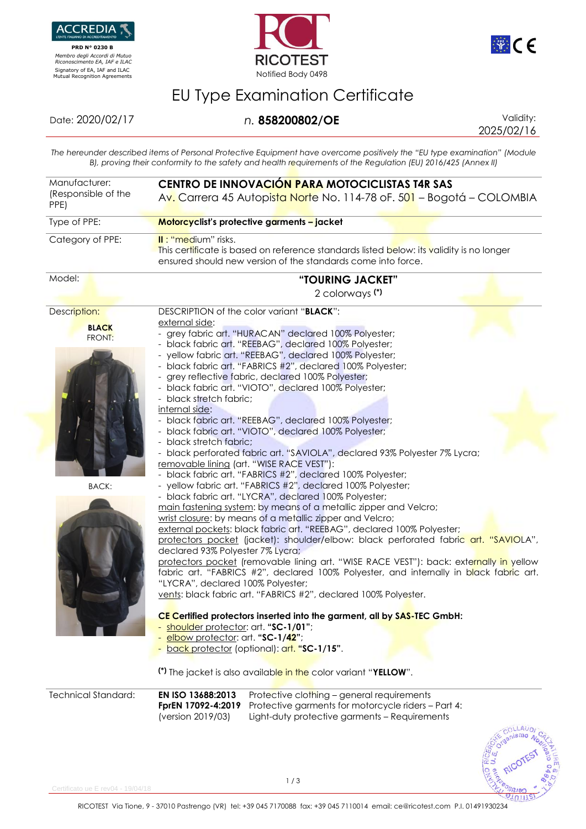

 **PRD N° 0230 B**  *Membro degli Accordi di Mutuo Riconoscimento EA, IAF e ILAC*





## EU Type Examination Certificate

Date: 2020/02/17 *n.* **858200802/OE** Validity:

2025/02/16

 $1011$ 

*The hereunder described items of Personal Protective Equipment have overcome positively the "EU type examination" (Module B), proving their conformity to the safety and health requirements of the Regulation (EU) 2016/425 (Annex II)*

| Manufacturer:<br>(Responsible of the<br>PPE)           | CENTRO DE INNOVACIÓN PARA MOTOCICLISTAS T4R SAS<br>Av. Carrera 45 Autopista Norte No. 114-78 oF. 501 – Bogotá – COLOMBIA                                                                                                                                                                                                                                                                                                                                                                                                                                                                                                                                                                                                                                                                                                                                                                                                                                                                                                                                                                                                                                                                                                                                                                                                                                                                                                                                                                                                                                                                                                                                                                                                                                                                                                     |  |  |
|--------------------------------------------------------|------------------------------------------------------------------------------------------------------------------------------------------------------------------------------------------------------------------------------------------------------------------------------------------------------------------------------------------------------------------------------------------------------------------------------------------------------------------------------------------------------------------------------------------------------------------------------------------------------------------------------------------------------------------------------------------------------------------------------------------------------------------------------------------------------------------------------------------------------------------------------------------------------------------------------------------------------------------------------------------------------------------------------------------------------------------------------------------------------------------------------------------------------------------------------------------------------------------------------------------------------------------------------------------------------------------------------------------------------------------------------------------------------------------------------------------------------------------------------------------------------------------------------------------------------------------------------------------------------------------------------------------------------------------------------------------------------------------------------------------------------------------------------------------------------------------------------|--|--|
| Type of PPE:                                           | Motorcyclist's protective garments - jacket                                                                                                                                                                                                                                                                                                                                                                                                                                                                                                                                                                                                                                                                                                                                                                                                                                                                                                                                                                                                                                                                                                                                                                                                                                                                                                                                                                                                                                                                                                                                                                                                                                                                                                                                                                                  |  |  |
| Category of PPE:                                       | II: "medium" risks.<br>This certificate is based on reference standards listed below: its validity is no longer<br>ensured should new version of the standards come into force.                                                                                                                                                                                                                                                                                                                                                                                                                                                                                                                                                                                                                                                                                                                                                                                                                                                                                                                                                                                                                                                                                                                                                                                                                                                                                                                                                                                                                                                                                                                                                                                                                                              |  |  |
| Model:                                                 | "TOURING JACKET"<br>2 colorways (*)                                                                                                                                                                                                                                                                                                                                                                                                                                                                                                                                                                                                                                                                                                                                                                                                                                                                                                                                                                                                                                                                                                                                                                                                                                                                                                                                                                                                                                                                                                                                                                                                                                                                                                                                                                                          |  |  |
| Description:<br><b>BLACK</b><br>FRONT:<br><b>BACK:</b> | DESCRIPTION of the color variant "BLACK":<br>external side:<br>- grey fabric art. "HURACAN" declared 100% Polyester;<br>black fabric art. "REEBAG", declared 100% Polyester;<br>- yellow fabric art. "REEBAG", declared 100% Polyester;<br>black fabric art. "FABRICS #2", declared 100% Polyester;<br>grey reflective fabric, declared 100% Polyester;<br>- black fabric art. "VIOTO", declared 100% Polyester;<br>- black stretch fabric;<br>internal side:<br>black fabric art. "REEBAG", declared 100% Polyester;<br>black fabric art. "VIOTO", declared 100% Polyester;<br>- black stretch fabric;<br>black perforated fabric art. "SAVIOLA", declared 93% Polyester 7% Lycra;<br>removable lining (art. "WISE RACE VEST"):<br>black fabric art. "FABRICS #2", declared 100% Polyester;<br>- yellow fabric art. "FABRICS #2", declared 100% Polyester;<br>- black fabric art. "LYCRA", declared 100% Polyester;<br>main fastening system: by means of a metallic zipper and Velcro;<br>wrist closure: by means of a metallic zipper and Velcro;<br>external pockets: black fabric art. "REEBAG", declared 100% Polyester;<br>protectors pocket (jacket): shoulder/elbow: black perforated fabric art. "SAVIOLA",<br>declared 93% Polyester 7% Lycra;<br>protectors pocket (removable lining art. "WISE RACE VEST"): back: externally in yellow<br>fabric art. "FABRICS #2", declared 100% Polyester, and internally in black fabric art.<br>"LYCRA", declared 100% Polyester;<br>vents: black fabric art. "FABRICS #2", declared 100% Polyester.<br>CE Certified protectors inserted into the garment, all by SAS-TEC GmbH:<br>shoulder protector: art. "SC-1/01";<br>elbow protector: art. "SC-1/42";<br>back protector (optional): art. "SC-1/15".<br>(*) The jacket is also available in the color variant "YELLOW". |  |  |
| <b>Technical Standard:</b>                             | EN ISO 13688:2013<br>Protective clothing - general requirements<br>FprEN 17092-4:2019<br>Protective garments for motorcycle riders - Part 4:<br>(version 2019/03)<br>Light-duty protective garments - Requirements                                                                                                                                                                                                                                                                                                                                                                                                                                                                                                                                                                                                                                                                                                                                                                                                                                                                                                                                                                                                                                                                                                                                                                                                                                                                                                                                                                                                                                                                                                                                                                                                           |  |  |

ertificato ue E rev04 - 19/04/18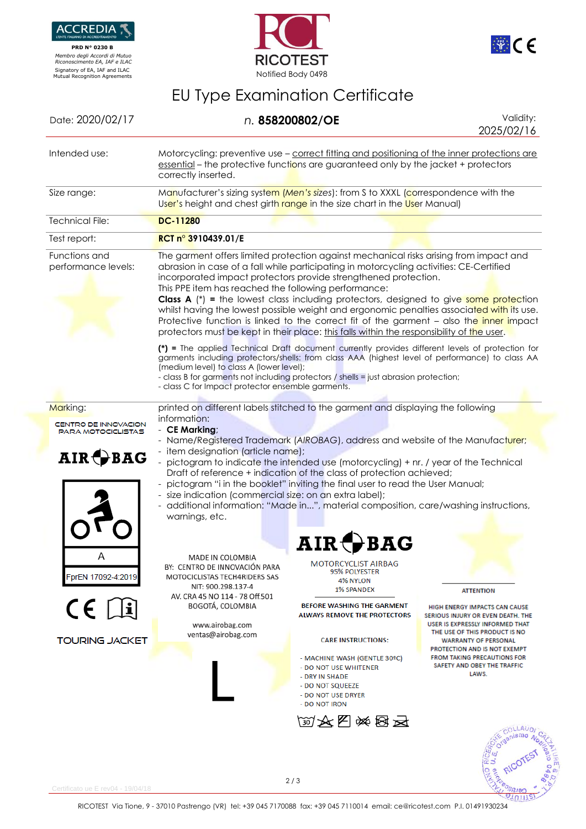

 **PRD N° 0230 B**  *Membro degli Accordi di Mutuo Riconoscimento EA, IAF e ILAC*





<u>OTUTITEI</u>

## EU Type Examination Certificate

| Date: 2020/02/17                                                                |                                                                                                                                                                                                                                                                                                                                                                                                                                                                                                                                                                                                                                                                                                                                                                                                                                                                                                                                                                                                                                                                                                   | n. 858200802/OE                                                                                                                                                                                                                                                                                                             | Validity:<br>2025/02/16                                                                                                                                                                                                                                                                                        |  |
|---------------------------------------------------------------------------------|---------------------------------------------------------------------------------------------------------------------------------------------------------------------------------------------------------------------------------------------------------------------------------------------------------------------------------------------------------------------------------------------------------------------------------------------------------------------------------------------------------------------------------------------------------------------------------------------------------------------------------------------------------------------------------------------------------------------------------------------------------------------------------------------------------------------------------------------------------------------------------------------------------------------------------------------------------------------------------------------------------------------------------------------------------------------------------------------------|-----------------------------------------------------------------------------------------------------------------------------------------------------------------------------------------------------------------------------------------------------------------------------------------------------------------------------|----------------------------------------------------------------------------------------------------------------------------------------------------------------------------------------------------------------------------------------------------------------------------------------------------------------|--|
| Intended use:                                                                   | Motorcycling: preventive use – correct fitting and positioning of the inner protections are<br>essential – the protective functions are guaranteed only by the jacket + protectors<br>correctly inserted.                                                                                                                                                                                                                                                                                                                                                                                                                                                                                                                                                                                                                                                                                                                                                                                                                                                                                         |                                                                                                                                                                                                                                                                                                                             |                                                                                                                                                                                                                                                                                                                |  |
| Size range:                                                                     | Manufacturer's sizing system (Men's sizes): from S to XXXL (correspondence with the<br>User's height and chest girth range in the size chart in the User Manual)                                                                                                                                                                                                                                                                                                                                                                                                                                                                                                                                                                                                                                                                                                                                                                                                                                                                                                                                  |                                                                                                                                                                                                                                                                                                                             |                                                                                                                                                                                                                                                                                                                |  |
| <b>Technical File:</b>                                                          | <b>DC-11280</b>                                                                                                                                                                                                                                                                                                                                                                                                                                                                                                                                                                                                                                                                                                                                                                                                                                                                                                                                                                                                                                                                                   |                                                                                                                                                                                                                                                                                                                             |                                                                                                                                                                                                                                                                                                                |  |
| Test report:                                                                    | RCT n° 3910439.01/E                                                                                                                                                                                                                                                                                                                                                                                                                                                                                                                                                                                                                                                                                                                                                                                                                                                                                                                                                                                                                                                                               |                                                                                                                                                                                                                                                                                                                             |                                                                                                                                                                                                                                                                                                                |  |
| Functions and<br>performance levels:                                            | The garment offers limited protection against mechanical risks arising from impact and<br>abrasion in case of a fall while participating in motorcycling activities: CE-Certified<br>incorporated impact protectors provide strengthened protection.<br>This PPE item has reached the following performance:<br><b>Class A</b> (*) = the lowest class including protectors, designed to give some protection<br>whilst having the lowest possible weight and ergonomic penalties associated with its use.<br>Protective function is linked to the correct fit of the garment - also the inner impact<br>protectors must be kept in their place: this falls within the responsibility of the user.<br>(*) = The applied Technical Draft document currently provides different levels of protection for<br>garments including protectors/shells: from class AAA (highest level of performance) to class AA<br>(medium level) to class A (lower level);<br>- class B for garments not including protectors / shells = just abrasion protection;<br>- class C for Impact protector ensemble garments. |                                                                                                                                                                                                                                                                                                                             |                                                                                                                                                                                                                                                                                                                |  |
| Marking:<br><b>CENTRO DE INNOVACION</b><br><b>PARA MOTOCICLISTAS</b><br>AIR BAG | printed on different labels stitched to the garment and displaying the following<br>information:<br>- CE Marking;<br>- Name/Registered Trademark (AIROBAG), address and website of the Manufacturer;<br>- item designation (article name);<br>- pictogram to indicate the intended use (motorcycling) + nr. / year of the Technical<br>- pictogram "i in the booklet" inviting the final user to read the User Manual;<br>- size indication (commercial size: on an extra label);<br>- additional information: "Made in", material composition, care/washing instructions,<br>warnings, etc.                                                                                                                                                                                                                                                                                                                                                                                                                                                                                                      | Draft of reference + indication of the class of protection achieved;<br>A TR ·                                                                                                                                                                                                                                              |                                                                                                                                                                                                                                                                                                                |  |
| Α<br>FprEN 17092-4:2019<br>$C \in \Box$<br><b>TOURING JACKET</b>                | MADE IN COLOMBIA<br>BY: CENTRO DE INNOVACIÓN PARA<br>MOTOCICLISTAS TECH4RIDERS SAS<br>NIT: 900.298.137-4<br>AV. CRA 45 NO 114 - 78 Off.501<br>BOGOTÁ, COLOMBIA<br>www.airobag.com<br>ventas@airobag.com                                                                                                                                                                                                                                                                                                                                                                                                                                                                                                                                                                                                                                                                                                                                                                                                                                                                                           | <b>MOTORCYCLIST AIRBAG</b><br>95% POLYESTER<br>4% NYLON<br><b>1% SPANDEX</b><br><b>BEFORE WASHING THE GARMENT</b><br><b>ALWAYS REMOVE THE PROTECTORS</b><br><b>CARE INSTRUCTIONS:</b><br>- MACHINE WASH (GENTLE 30°C)<br>- DO NOT USE WHITENER<br>- DRY IN SHADE<br>- DO NOT SQUEEZE<br>- DO NOT USE DRYER<br>- DO NOT IRON | <b>ATTENTION</b><br>HIGH ENERGY IMPACTS CAN CAUSE<br>SERIOUS INJURY OR EVEN DEATH. THE<br><b>USER IS EXPRESSLY INFORMED THAT</b><br>THE USE OF THIS PRODUCT IS NO<br><b>WARRANTY OF PERSONAL</b><br>PROTECTION AND IS NOT EXEMPT<br><b>FROM TAKING PRECAUTIONS FOR</b><br>SAFETY AND OBEY THE TRAFFIC<br>LAWS. |  |
| Certificato ue E rev04 - 19/04/18                                               |                                                                                                                                                                                                                                                                                                                                                                                                                                                                                                                                                                                                                                                                                                                                                                                                                                                                                                                                                                                                                                                                                                   | <b>函文图※图云</b><br>2/3                                                                                                                                                                                                                                                                                                        |                                                                                                                                                                                                                                                                                                                |  |

RICOTEST Via Tione, 9 - 37010 Pastrengo (VR) tel: +39 045 7170088 fax: +39 045 7110014 email[: ce@ricotest.com](mailto:ce@ricotest.com) P.I. 01491930234